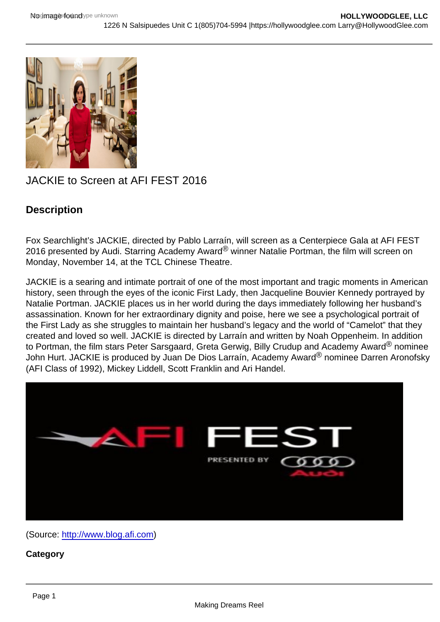## JACKIE to Screen at AFI FEST 2016

## **Description**

Fox Searchlight's JACKIE, directed by Pablo Larraín, will screen as a Centerpiece Gala at AFI FEST 2016 presented by Audi. Starring Academy Award® winner Natalie Portman, the film will screen on Monday, November 14, at the TCL Chinese Theatre.

JACKIE is a searing and intimate portrait of one of the most important and tragic moments in American history, seen through the eyes of the iconic First Lady, then Jacqueline Bouvier Kennedy portrayed by Natalie Portman. JACKIE places us in her world during the days immediately following her husband's assassination. Known for her extraordinary dignity and poise, here we see a psychological portrait of the First Lady as she struggles to maintain her husband's legacy and the world of "Camelot" that they created and loved so well. JACKIE is directed by Larraín and written by Noah Oppenheim. In addition to Portman, the film stars Peter Sarsgaard, Greta Gerwig, Billy Crudup and Academy Award<sup>®</sup> nominee John Hurt. JACKIE is produced by Juan De Dios Larraín, Academy Award® nominee Darren Aronofsky (AFI Class of 1992), Mickey Liddell, Scott Franklin and Ari Handel.

(Source: [http://www.blog.afi.com\)](http://www.blog.afi.com)

**Category**